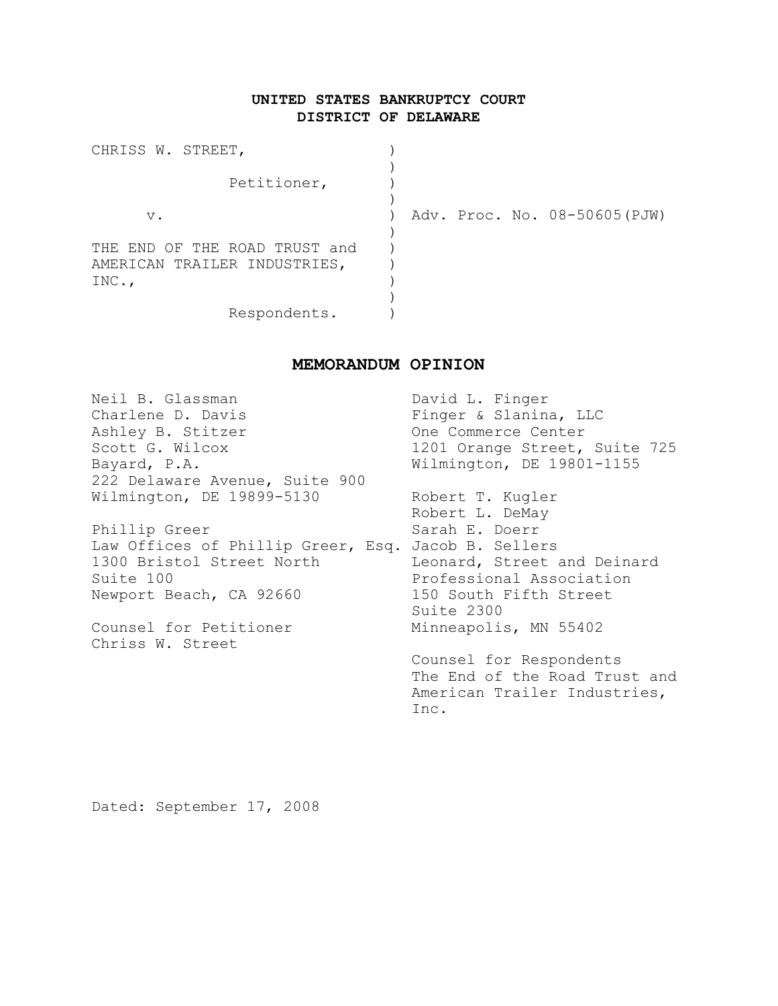# **UNITED STATES BANKRUPTCY COURT DISTRICT OF DELAWARE**

| CHRISS W. STREET,                                                 |                               |
|-------------------------------------------------------------------|-------------------------------|
| Petitioner,                                                       |                               |
| $V$ .                                                             | Adv. Proc. No. 08-50605 (PJW) |
| END OF THE ROAD TRUST and<br>THE.<br>AMERICAN TRAILER INDUSTRIES, |                               |
| INC.,                                                             |                               |
| Respondents.                                                      |                               |

# **MEMORANDUM OPINION**

| Neil B. Glassman                                    | David L. Finger               |
|-----------------------------------------------------|-------------------------------|
| Charlene D. Davis                                   | Finger & Slanina, LLC         |
| Ashley B. Stitzer                                   | One Commerce Center           |
| Scott G. Wilcox                                     | 1201 Orange Street, Suite 725 |
| Bayard, P.A.                                        | Wilmington, DE 19801-1155     |
| 222 Delaware Avenue, Suite 900                      |                               |
| Wilmington, DE 19899-5130                           | Robert T. Kugler              |
|                                                     | Robert L. DeMay               |
| Phillip Greer                                       | Sarah E. Doerr                |
| Law Offices of Phillip Greer, Esq. Jacob B. Sellers |                               |
| 1300 Bristol Street North                           | Leonard, Street and Deinard   |
| Suite 100                                           | Professional Association      |
| Newport Beach, CA 92660                             | 150 South Fifth Street        |
|                                                     | Suite 2300                    |
| Counsel for Petitioner                              | Minneapolis, MN 55402         |
| Chriss W. Street                                    |                               |
|                                                     | Counsel for Respondents       |
|                                                     | The End of the Road Trust and |
|                                                     | American Trailer Industries,  |
|                                                     | Inc.                          |
|                                                     |                               |

Dated: September 17, 2008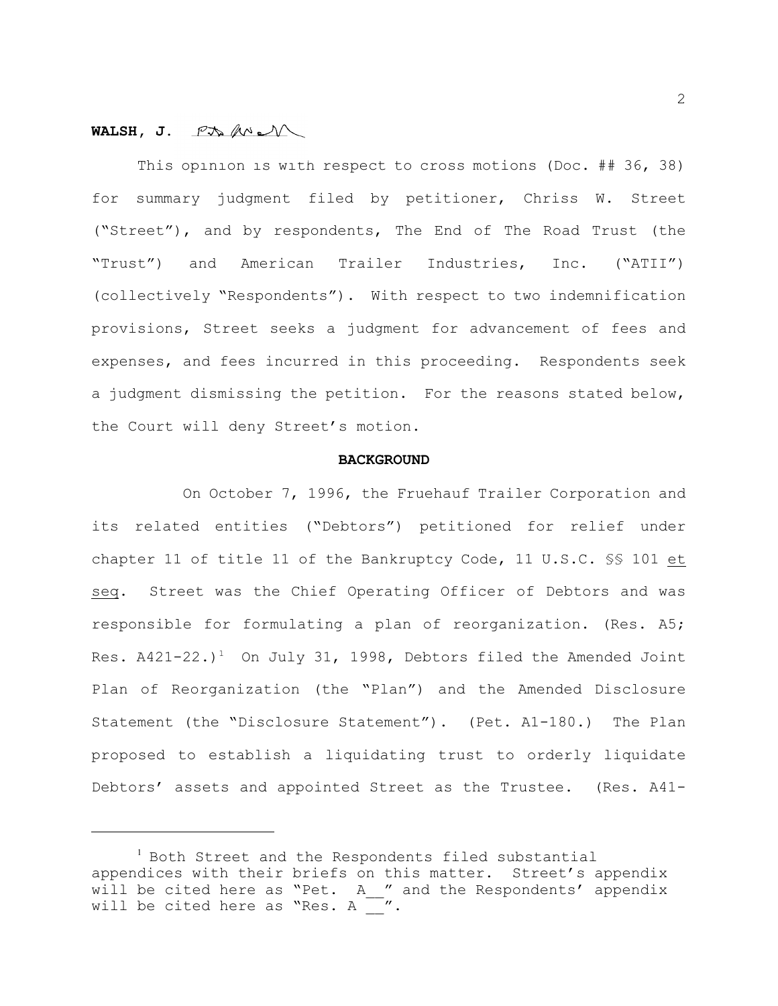## **WALSH, J.**

This opinion is with respect to cross motions (Doc. ## 36, 38) for summary judgment filed by petitioner, Chriss W. Street ("Street"), and by respondents, The End of The Road Trust (the "Trust") and American Trailer Industries, Inc. ("ATII") (collectively "Respondents"). With respect to two indemnification provisions, Street seeks a judgment for advancement of fees and expenses, and fees incurred in this proceeding. Respondents seek a judgment dismissing the petition. For the reasons stated below, the Court will deny Street's motion.

#### **BACKGROUND**

On October 7, 1996, the Fruehauf Trailer Corporation and its related entities ("Debtors") petitioned for relief under chapter 11 of title 11 of the Bankruptcy Code, 11 U.S.C. §§ 101 et seq. Street was the Chief Operating Officer of Debtors and was responsible for formulating a plan of reorganization. (Res. A5; Res.  $A421-22.$ )<sup>1</sup> On July 31, 1998, Debtors filed the Amended Joint Plan of Reorganization (the "Plan") and the Amended Disclosure Statement (the "Disclosure Statement"). (Pet. A1-180.) The Plan proposed to establish a liquidating trust to orderly liquidate Debtors' assets and appointed Street as the Trustee. (Res. A41-

<sup>&</sup>lt;sup>1</sup> Both Street and the Respondents filed substantial appendices with their briefs on this matter. Street's appendix will be cited here as "Pet. A " and the Respondents' appendix will be cited here as "Res. A  $\sim$  ".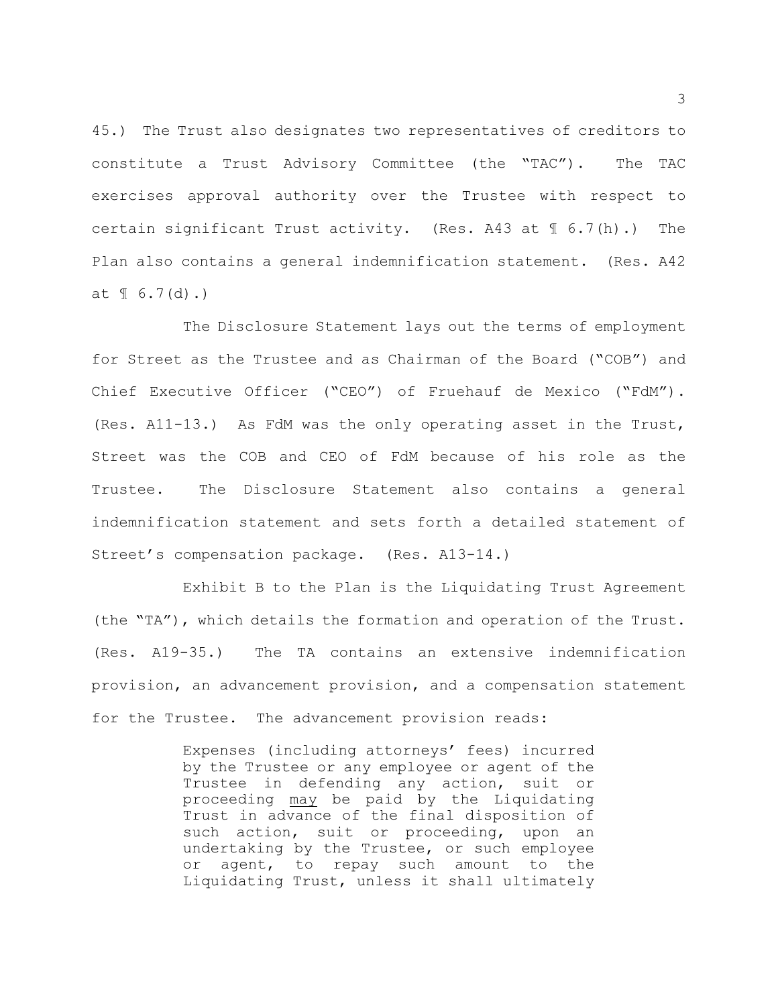45.) The Trust also designates two representatives of creditors to constitute a Trust Advisory Committee (the "TAC"). The TAC exercises approval authority over the Trustee with respect to certain significant Trust activity. (Res. A43 at  $\mathbb{I}$  6.7(h).) The Plan also contains a general indemnification statement. (Res. A42 at  $\{ [ 6.7(d) . ] \}$ 

The Disclosure Statement lays out the terms of employment for Street as the Trustee and as Chairman of the Board ("COB") and Chief Executive Officer ("CEO") of Fruehauf de Mexico ("FdM"). (Res. A11-13.) As FdM was the only operating asset in the Trust, Street was the COB and CEO of FdM because of his role as the Trustee. The Disclosure Statement also contains a general indemnification statement and sets forth a detailed statement of Street's compensation package. (Res. A13-14.)

Exhibit B to the Plan is the Liquidating Trust Agreement (the "TA"), which details the formation and operation of the Trust. (Res. A19-35.) The TA contains an extensive indemnification provision, an advancement provision, and a compensation statement for the Trustee. The advancement provision reads:

> Expenses (including attorneys' fees) incurred by the Trustee or any employee or agent of the Trustee in defending any action, suit or proceeding may be paid by the Liquidating Trust in advance of the final disposition of such action, suit or proceeding, upon an undertaking by the Trustee, or such employee or agent, to repay such amount to the Liquidating Trust, unless it shall ultimately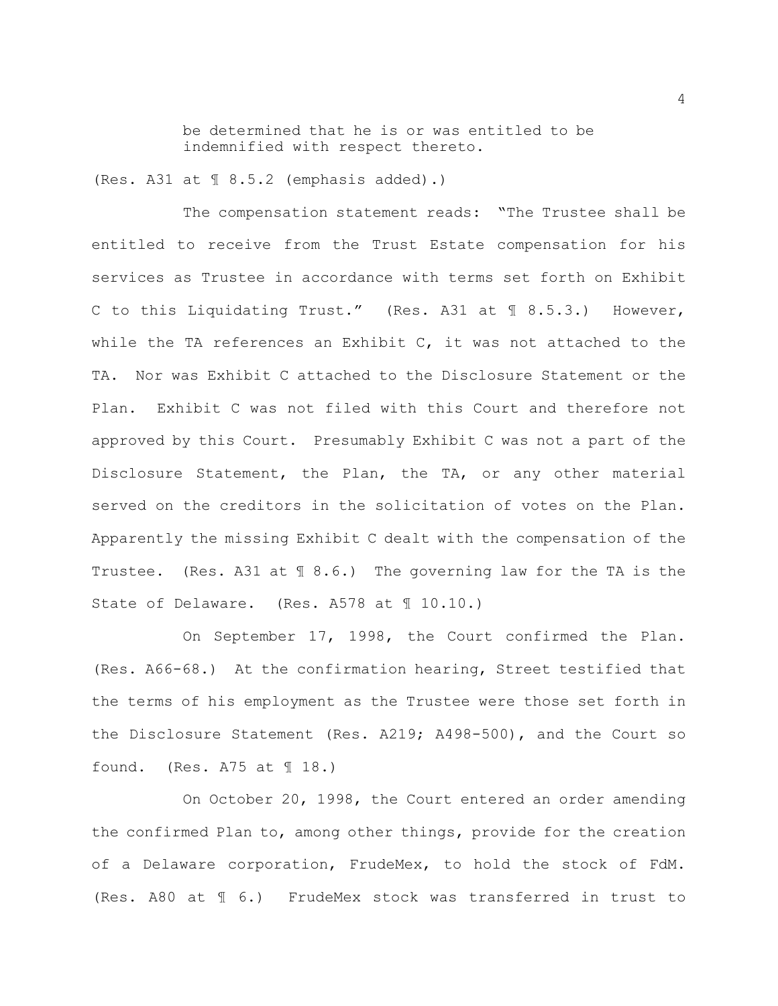be determined that he is or was entitled to be indemnified with respect thereto.

(Res. A31 at  $\text{\textsterling } 8.5.2$  (emphasis added).)

The compensation statement reads: "The Trustee shall be entitled to receive from the Trust Estate compensation for his services as Trustee in accordance with terms set forth on Exhibit C to this Liquidating Trust." (Res. A31 at ¶ 8.5.3.) However, while the TA references an Exhibit  $C<sub>r</sub>$  it was not attached to the TA. Nor was Exhibit C attached to the Disclosure Statement or the Plan. Exhibit C was not filed with this Court and therefore not approved by this Court. Presumably Exhibit C was not a part of the Disclosure Statement, the Plan, the TA, or any other material served on the creditors in the solicitation of votes on the Plan. Apparently the missing Exhibit C dealt with the compensation of the Trustee. (Res. A31 at ¶ 8.6.) The governing law for the TA is the State of Delaware. (Res. A578 at 10.10.)

On September 17, 1998, the Court confirmed the Plan. (Res. A66-68.) At the confirmation hearing, Street testified that the terms of his employment as the Trustee were those set forth in the Disclosure Statement (Res. A219; A498-500), and the Court so found. (Res.  $A75$  at  $\text{\textsterling} 18.$ )

On October 20, 1998, the Court entered an order amending the confirmed Plan to, among other things, provide for the creation of a Delaware corporation, FrudeMex, to hold the stock of FdM. (Res. A80 at ¶ 6.) FrudeMex stock was transferred in trust to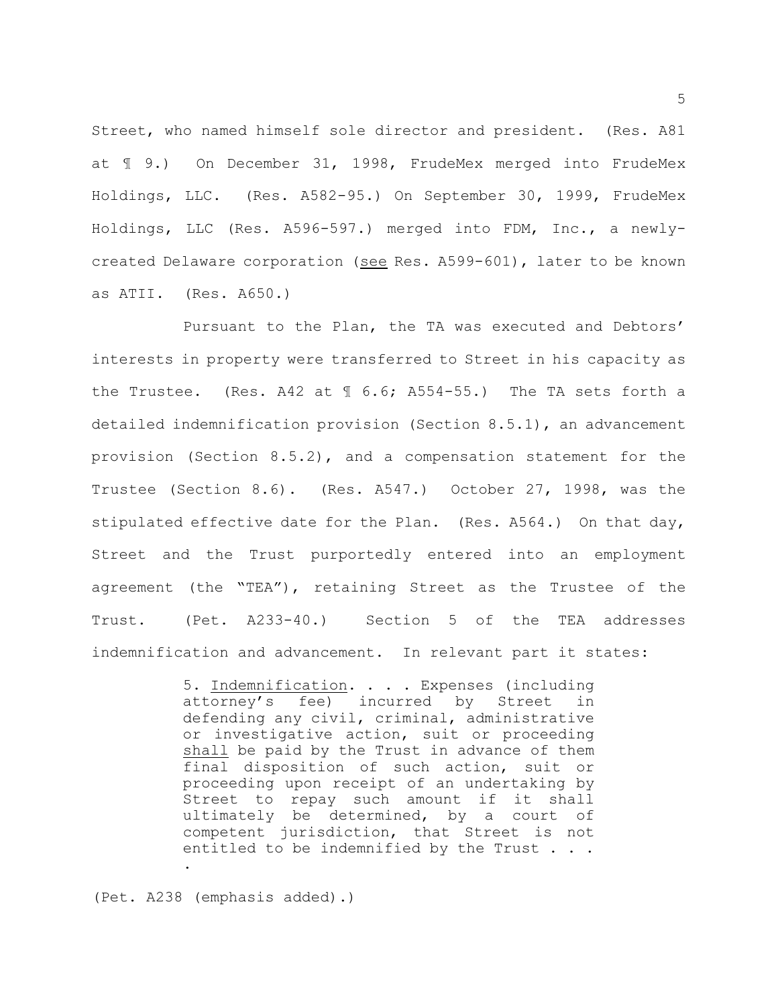Street, who named himself sole director and president. (Res. A81 at ¶ 9.) On December 31, 1998, FrudeMex merged into FrudeMex Holdings, LLC. (Res. A582-95.) On September 30, 1999, FrudeMex Holdings, LLC (Res. A596-597.) merged into FDM, Inc., a newlycreated Delaware corporation (see Res. A599-601), later to be known as ATII. (Res. A650.)

Pursuant to the Plan, the TA was executed and Debtors' interests in property were transferred to Street in his capacity as the Trustee. (Res. A42 at  $\frac{1}{2}$  6.6; A554-55.) The TA sets forth a detailed indemnification provision (Section 8.5.1), an advancement provision (Section 8.5.2), and a compensation statement for the Trustee (Section 8.6). (Res. A547.) October 27, 1998, was the stipulated effective date for the Plan. (Res. A564.) On that day, Street and the Trust purportedly entered into an employment agreement (the "TEA"), retaining Street as the Trustee of the Trust. (Pet. A233-40.) Section 5 of the TEA addresses indemnification and advancement. In relevant part it states:

> 5. Indemnification. . . . Expenses (including attorney's fee) incurred by Street in defending any civil, criminal, administrative or investigative action, suit or proceeding shall be paid by the Trust in advance of them final disposition of such action, suit or proceeding upon receipt of an undertaking by Street to repay such amount if it shall ultimately be determined, by a court of competent jurisdiction, that Street is not entitled to be indemnified by the Trust . . .

(Pet. A238 (emphasis added).)

.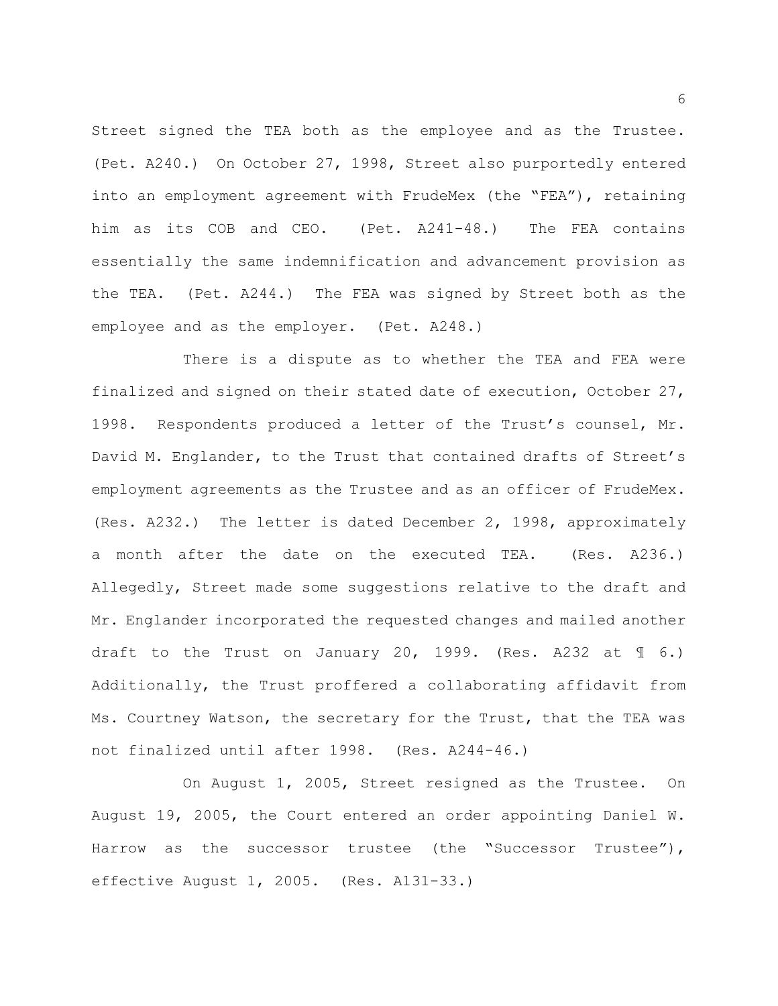Street signed the TEA both as the employee and as the Trustee. (Pet. A240.) On October 27, 1998, Street also purportedly entered into an employment agreement with FrudeMex (the "FEA"), retaining him as its COB and CEO. (Pet. A241-48.) The FEA contains essentially the same indemnification and advancement provision as the TEA. (Pet. A244.) The FEA was signed by Street both as the employee and as the employer. (Pet. A248.)

There is a dispute as to whether the TEA and FEA were finalized and signed on their stated date of execution, October 27, 1998. Respondents produced a letter of the Trust's counsel, Mr. David M. Englander, to the Trust that contained drafts of Street's employment agreements as the Trustee and as an officer of FrudeMex. (Res. A232.) The letter is dated December 2, 1998, approximately a month after the date on the executed TEA. (Res. A236.) Allegedly, Street made some suggestions relative to the draft and Mr. Englander incorporated the requested changes and mailed another draft to the Trust on January 20, 1999. (Res. A232 at  $\mathcal{I}$  6.) Additionally, the Trust proffered a collaborating affidavit from Ms. Courtney Watson, the secretary for the Trust, that the TEA was not finalized until after 1998. (Res. A244-46.)

On August 1, 2005, Street resigned as the Trustee. On August 19, 2005, the Court entered an order appointing Daniel W. Harrow as the successor trustee (the "Successor Trustee"), effective August 1, 2005. (Res. A131-33.)

6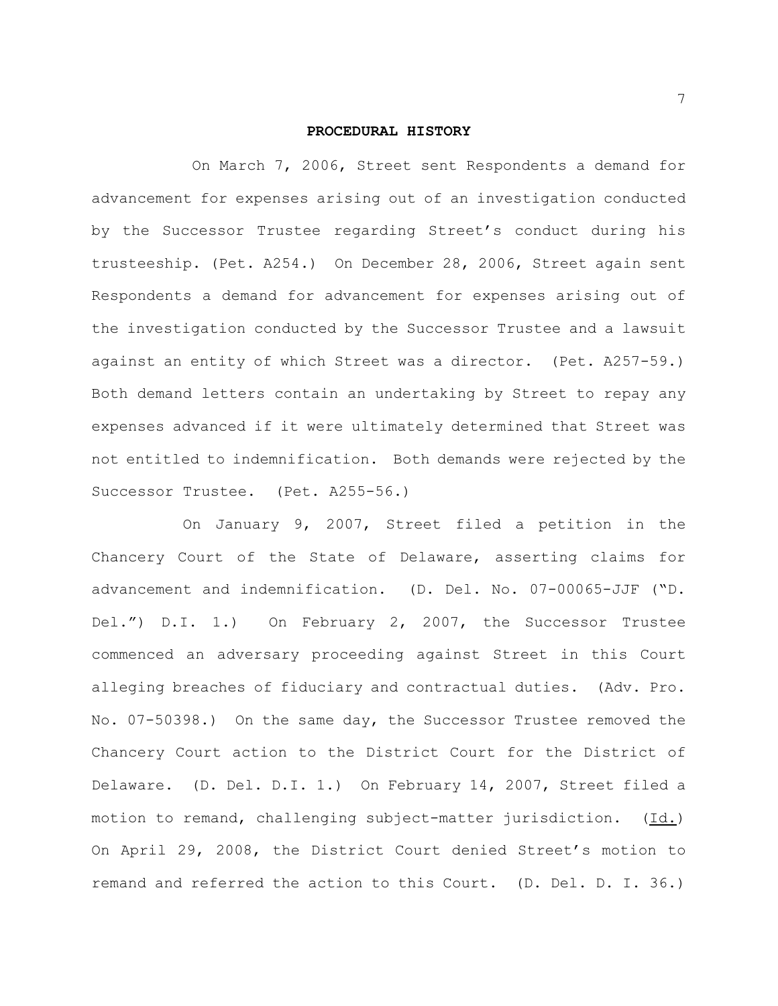#### **PROCEDURAL HISTORY**

 On March 7, 2006, Street sent Respondents a demand for advancement for expenses arising out of an investigation conducted by the Successor Trustee regarding Street's conduct during his trusteeship. (Pet. A254.) On December 28, 2006, Street again sent Respondents a demand for advancement for expenses arising out of the investigation conducted by the Successor Trustee and a lawsuit against an entity of which Street was a director. (Pet. A257-59.) Both demand letters contain an undertaking by Street to repay any expenses advanced if it were ultimately determined that Street was not entitled to indemnification. Both demands were rejected by the Successor Trustee. (Pet. A255-56.)

On January 9, 2007, Street filed a petition in the Chancery Court of the State of Delaware, asserting claims for advancement and indemnification. (D. Del. No. 07-00065-JJF ("D. Del.") D.I. 1.) On February 2, 2007, the Successor Trustee commenced an adversary proceeding against Street in this Court alleging breaches of fiduciary and contractual duties. (Adv. Pro. No. 07-50398.) On the same day, the Successor Trustee removed the Chancery Court action to the District Court for the District of Delaware. (D. Del. D.I. 1.) On February 14, 2007, Street filed a motion to remand, challenging subject-matter jurisdiction. (Id.) On April 29, 2008, the District Court denied Street's motion to remand and referred the action to this Court. (D. Del. D. I. 36.)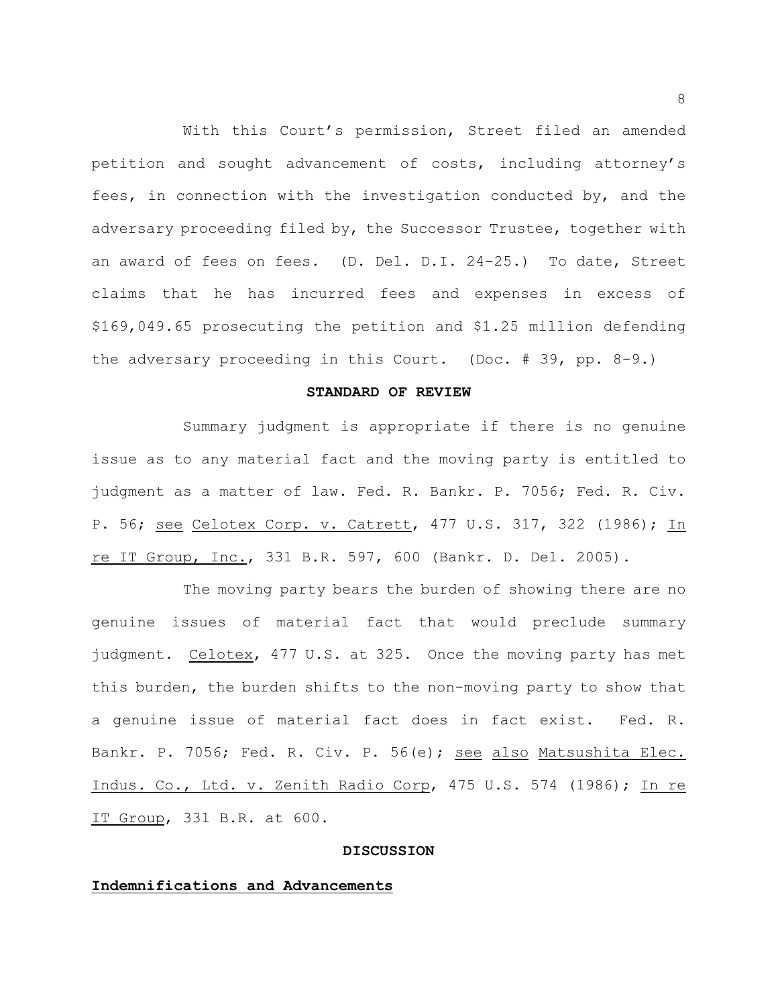With this Court's permission, Street filed an amended petition and sought advancement of costs, including attorney's fees, in connection with the investigation conducted by, and the adversary proceeding filed by, the Successor Trustee, together with an award of fees on fees. (D. Del. D.I. 24-25.) To date, Street claims that he has incurred fees and expenses in excess of \$169,049.65 prosecuting the petition and \$1.25 million defending the adversary proceeding in this Court. (Doc. # 39, pp. 8-9.)

## **STANDARD OF REVIEW**

Summary judgment is appropriate if there is no genuine issue as to any material fact and the moving party is entitled to judgment as a matter of law. Fed. R. Bankr. P. 7056; Fed. R. Civ. P. 56; see Celotex Corp. v. Catrett, 477 U.S. 317, 322 (1986); In re IT Group, Inc., 331 B.R. 597, 600 (Bankr. D. Del. 2005).

The moving party bears the burden of showing there are no genuine issues of material fact that would preclude summary judgment. Celotex, 477 U.S. at 325. Once the moving party has met this burden, the burden shifts to the non-moving party to show that a genuine issue of material fact does in fact exist. Fed. R. Bankr. P. 7056; Fed. R. Civ. P. 56(e); see also Matsushita Elec. Indus. Co., Ltd. v. Zenith Radio Corp, 475 U.S. 574 (1986); In re IT Group, 331 B.R. at 600.

#### **DISCUSSION**

### **Indemnifications and Advancements**

8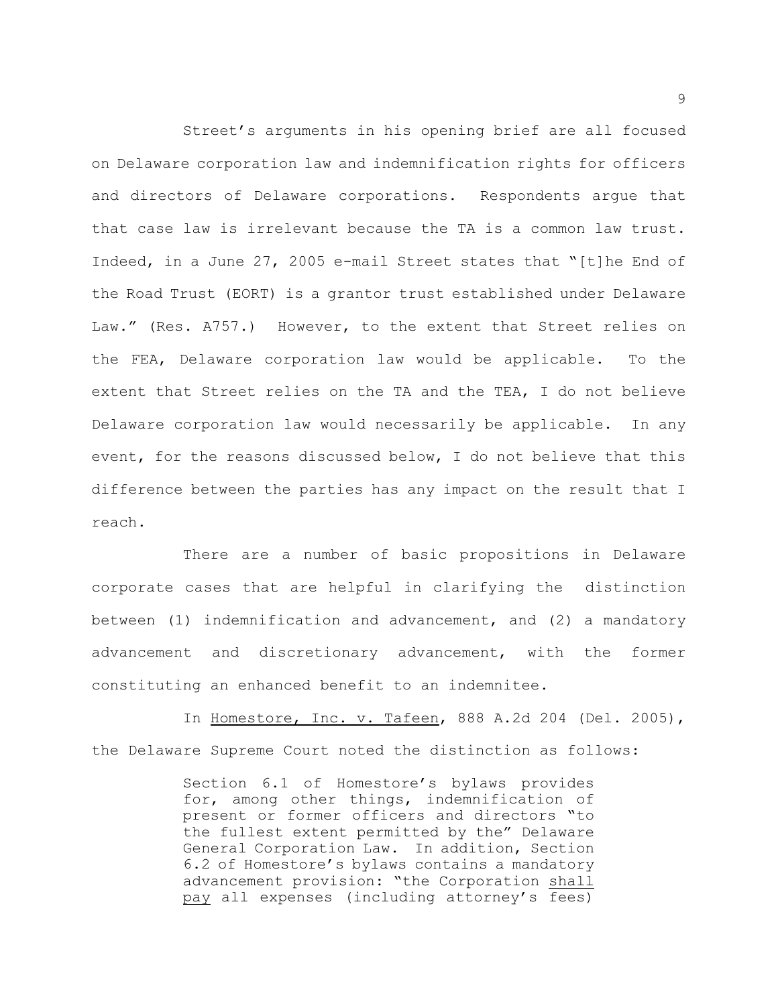Street's arguments in his opening brief are all focused on Delaware corporation law and indemnification rights for officers and directors of Delaware corporations. Respondents argue that that case law is irrelevant because the TA is a common law trust. Indeed, in a June 27, 2005 e-mail Street states that "[t]he End of the Road Trust (EORT) is a grantor trust established under Delaware Law." (Res. A757.) However, to the extent that Street relies on the FEA, Delaware corporation law would be applicable. To the extent that Street relies on the TA and the TEA, I do not believe Delaware corporation law would necessarily be applicable. In any event, for the reasons discussed below, I do not believe that this difference between the parties has any impact on the result that I reach.

There are a number of basic propositions in Delaware corporate cases that are helpful in clarifying the distinction between (1) indemnification and advancement, and (2) a mandatory advancement and discretionary advancement, with the former constituting an enhanced benefit to an indemnitee.

In Homestore, Inc. v. Tafeen, 888 A.2d 204 (Del. 2005), the Delaware Supreme Court noted the distinction as follows:

> Section 6.1 of Homestore's bylaws provides for, among other things, indemnification of present or former officers and directors "to the fullest extent permitted by the" Delaware General Corporation Law. In addition, Section 6.2 of Homestore's bylaws contains a mandatory advancement provision: "the Corporation shall pay all expenses (including attorney's fees)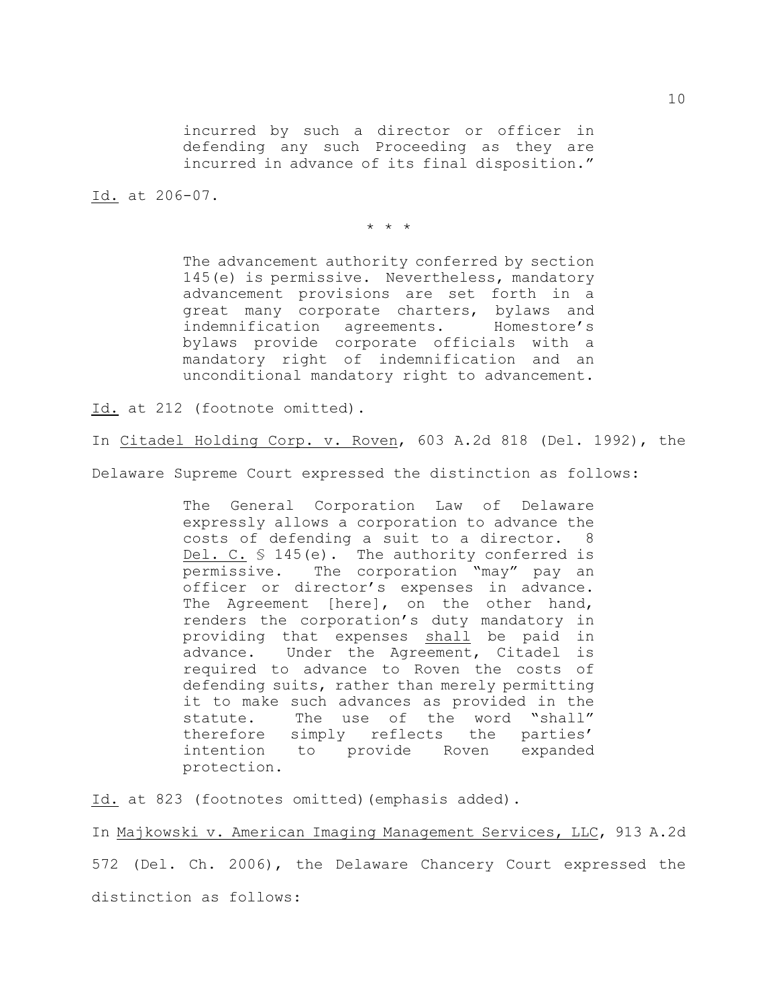incurred by such a director or officer in defending any such Proceeding as they are incurred in advance of its final disposition."

Id. at 206-07.

\* \* \*

The advancement authority conferred by section 145(e) is permissive. Nevertheless, mandatory advancement provisions are set forth in a great many corporate charters, bylaws and indemnification agreements. Homestore's bylaws provide corporate officials with a mandatory right of indemnification and an unconditional mandatory right to advancement.

Id. at 212 (footnote omitted).

In Citadel Holding Corp. v. Roven, 603 A.2d 818 (Del. 1992), the

Delaware Supreme Court expressed the distinction as follows:

The General Corporation Law of Delaware expressly allows a corporation to advance the costs of defending a suit to a director. 8 Del. C. § 145(e). The authority conferred is permissive. The corporation "may" pay an officer or director's expenses in advance. The Agreement [here], on the other hand, renders the corporation's duty mandatory in providing that expenses shall be paid in advance. Under the Agreement, Citadel is required to advance to Roven the costs of defending suits, rather than merely permitting it to make such advances as provided in the statute. The use of the word "shall" therefore simply reflects the parties' intention to provide Roven expanded protection.

Id. at 823 (footnotes omitted)(emphasis added).

In Majkowski v. American Imaging Management Services, LLC, 913 A.2d 572 (Del. Ch. 2006), the Delaware Chancery Court expressed the distinction as follows: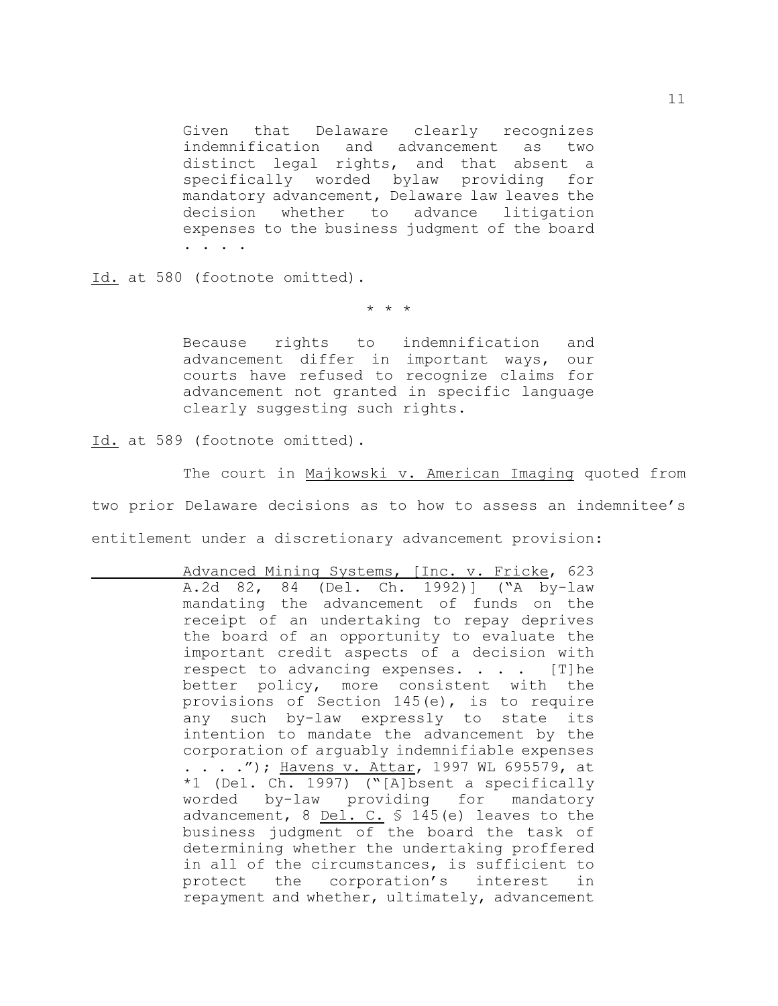Given that Delaware clearly recognizes indemnification and advancement as two distinct legal rights, and that absent a specifically worded bylaw providing for mandatory advancement, Delaware law leaves the decision whether to advance litigation expenses to the business judgment of the board . . . .

Id. at 580 (footnote omitted).

\* \* \*

Because rights to indemnification and advancement differ in important ways, our courts have refused to recognize claims for advancement not granted in specific language clearly suggesting such rights.

Id. at 589 (footnote omitted).

The court in Majkowski v. American Imaging quoted from two prior Delaware decisions as to how to assess an indemnitee's entitlement under a discretionary advancement provision:

Advanced Mining Systems, [Inc. v. Fricke, 623 A.2d 82, 84 (Del. Ch. 1992)] ("A by-law mandating the advancement of funds on the receipt of an undertaking to repay deprives the board of an opportunity to evaluate the important credit aspects of a decision with respect to advancing expenses. . . . [T]he better policy, more consistent with the provisions of Section 145(e), is to require any such by-law expressly to state its intention to mandate the advancement by the corporation of arguably indemnifiable expenses . . . ."); Havens v. Attar, 1997 WL 695579, at \*1 (Del. Ch. 1997) ("[A]bsent a specifically worded by-law providing for mandatory advancement,  $8$  Del. C.  $$$  145(e) leaves to the business judgment of the board the task of determining whether the undertaking proffered in all of the circumstances, is sufficient to protect the corporation's interest in repayment and whether, ultimately, advancement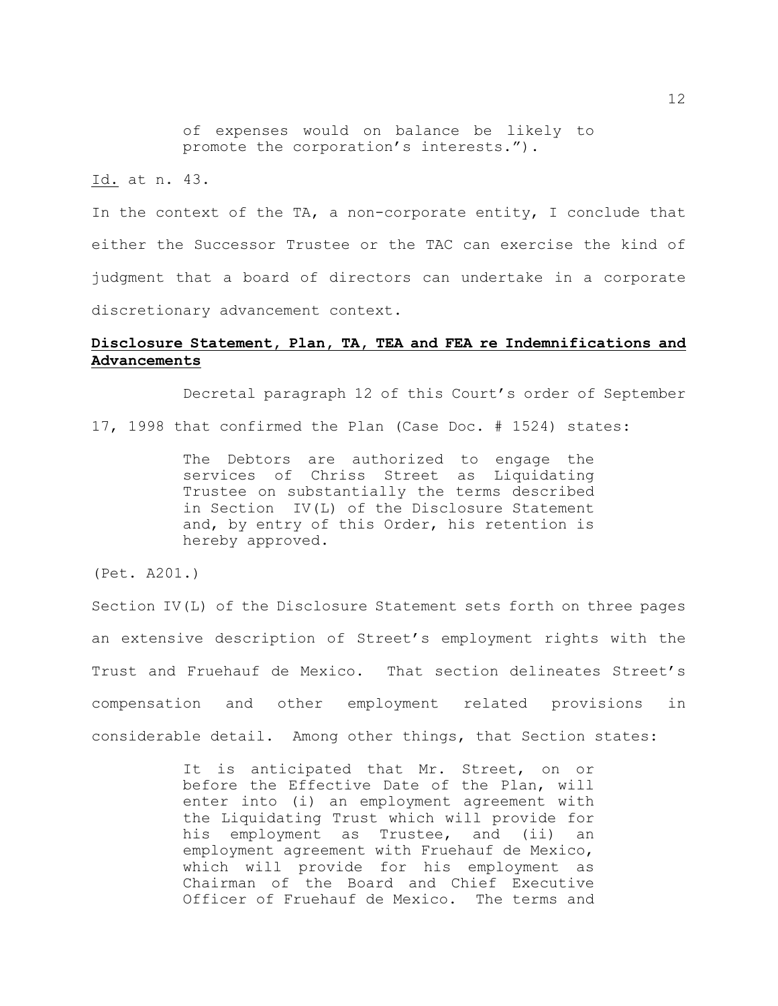of expenses would on balance be likely to promote the corporation's interests.").

Id. at n. 43.

In the context of the TA, a non-corporate entity, I conclude that either the Successor Trustee or the TAC can exercise the kind of judgment that a board of directors can undertake in a corporate discretionary advancement context.

# **Disclosure Statement, Plan, TA, TEA and FEA re Indemnifications and Advancements**

Decretal paragraph 12 of this Court's order of September 17, 1998 that confirmed the Plan (Case Doc. # 1524) states:

> The Debtors are authorized to engage the services of Chriss Street as Liquidating Trustee on substantially the terms described in Section IV(L) of the Disclosure Statement and, by entry of this Order, his retention is hereby approved.

(Pet. A201.)

Section IV(L) of the Disclosure Statement sets forth on three pages an extensive description of Street's employment rights with the Trust and Fruehauf de Mexico. That section delineates Street's compensation and other employment related provisions in considerable detail. Among other things, that Section states:

> It is anticipated that Mr. Street, on or before the Effective Date of the Plan, will enter into (i) an employment agreement with the Liquidating Trust which will provide for his employment as Trustee, and (ii) an employment agreement with Fruehauf de Mexico, which will provide for his employment as Chairman of the Board and Chief Executive Officer of Fruehauf de Mexico. The terms and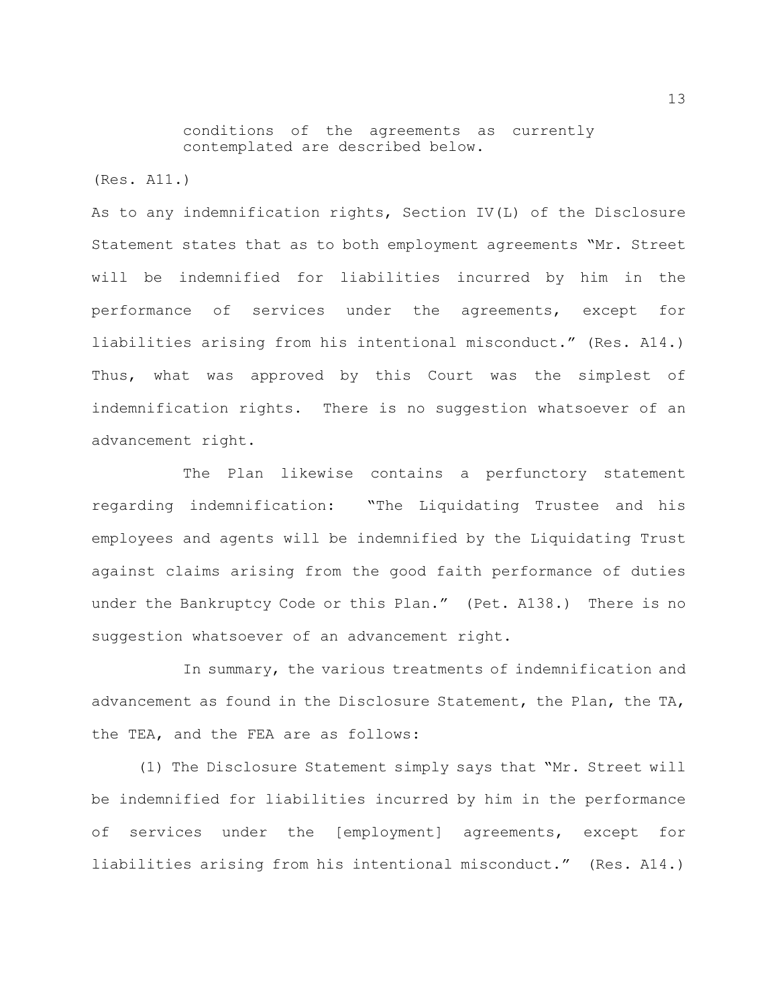conditions of the agreements as currently contemplated are described below.

(Res. A11.)

As to any indemnification rights, Section IV(L) of the Disclosure Statement states that as to both employment agreements "Mr. Street will be indemnified for liabilities incurred by him in the performance of services under the agreements, except for liabilities arising from his intentional misconduct." (Res. A14.) Thus, what was approved by this Court was the simplest of indemnification rights. There is no suggestion whatsoever of an advancement right.

The Plan likewise contains a perfunctory statement regarding indemnification: "The Liquidating Trustee and his employees and agents will be indemnified by the Liquidating Trust against claims arising from the good faith performance of duties under the Bankruptcy Code or this Plan." (Pet. A138.) There is no suggestion whatsoever of an advancement right.

In summary, the various treatments of indemnification and advancement as found in the Disclosure Statement, the Plan, the TA, the TEA, and the FEA are as follows:

(1) The Disclosure Statement simply says that "Mr. Street will be indemnified for liabilities incurred by him in the performance of services under the [employment] agreements, except for liabilities arising from his intentional misconduct." (Res. A14.)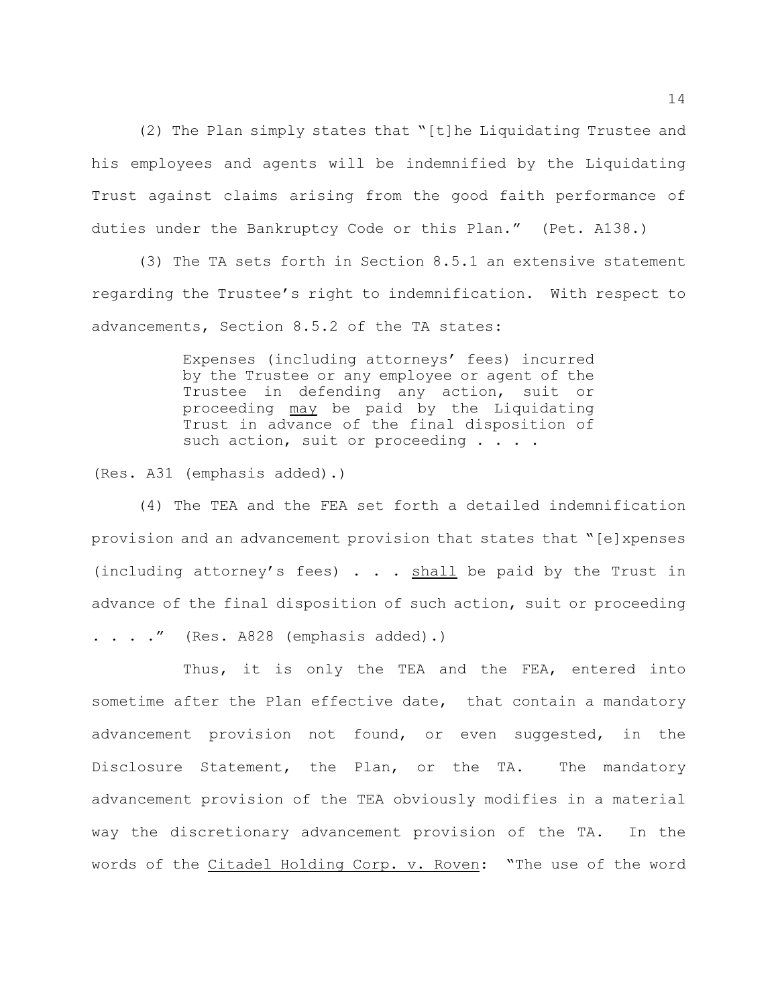(2) The Plan simply states that "[t]he Liquidating Trustee and his employees and agents will be indemnified by the Liquidating Trust against claims arising from the good faith performance of duties under the Bankruptcy Code or this Plan." (Pet. A138.)

(3) The TA sets forth in Section 8.5.1 an extensive statement regarding the Trustee's right to indemnification. With respect to advancements, Section 8.5.2 of the TA states:

> Expenses (including attorneys' fees) incurred by the Trustee or any employee or agent of the Trustee in defending any action, suit or proceeding may be paid by the Liquidating Trust in advance of the final disposition of such action, suit or proceeding . . . .

(Res. A31 (emphasis added).)

(4) The TEA and the FEA set forth a detailed indemnification provision and an advancement provision that states that "[e]xpenses (including attorney's fees)  $\ldots$  shall be paid by the Trust in advance of the final disposition of such action, suit or proceeding  $\ldots$  ." (Res. A828 (emphasis added).)

Thus, it is only the TEA and the FEA, entered into sometime after the Plan effective date, that contain a mandatory advancement provision not found, or even suggested, in the Disclosure Statement, the Plan, or the TA. The mandatory advancement provision of the TEA obviously modifies in a material way the discretionary advancement provision of the TA. In the words of the Citadel Holding Corp. v. Roven: "The use of the word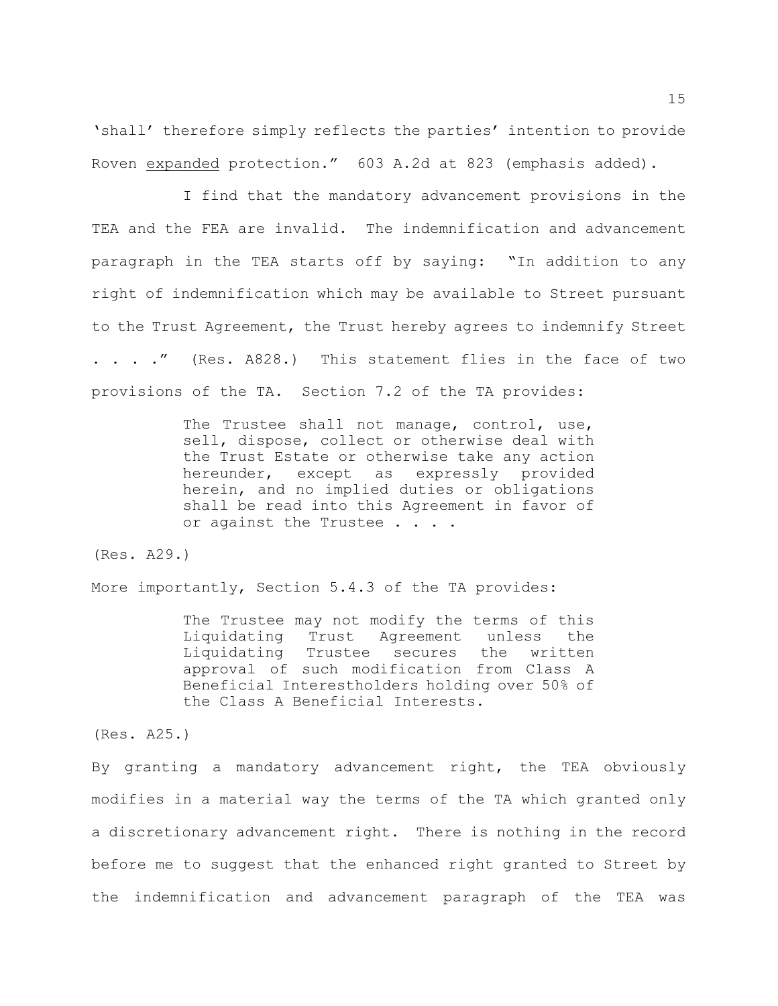'shall' therefore simply reflects the parties' intention to provide Roven expanded protection." 603 A.2d at 823 (emphasis added).

I find that the mandatory advancement provisions in the TEA and the FEA are invalid. The indemnification and advancement paragraph in the TEA starts off by saying: "In addition to any right of indemnification which may be available to Street pursuant to the Trust Agreement, the Trust hereby agrees to indemnify Street . . . ." (Res. A828.) This statement flies in the face of two provisions of the TA. Section 7.2 of the TA provides:

> The Trustee shall not manage, control, use, sell, dispose, collect or otherwise deal with the Trust Estate or otherwise take any action hereunder, except as expressly provided herein, and no implied duties or obligations shall be read into this Agreement in favor of or against the Trustee . . . .

(Res. A29.)

More importantly, Section 5.4.3 of the TA provides:

The Trustee may not modify the terms of this Liquidating Trust Agreement unless the Liquidating Trustee secures the written approval of such modification from Class A Beneficial Interestholders holding over 50% of the Class A Beneficial Interests.

(Res. A25.)

By granting a mandatory advancement right, the TEA obviously modifies in a material way the terms of the TA which granted only a discretionary advancement right. There is nothing in the record before me to suggest that the enhanced right granted to Street by the indemnification and advancement paragraph of the TEA was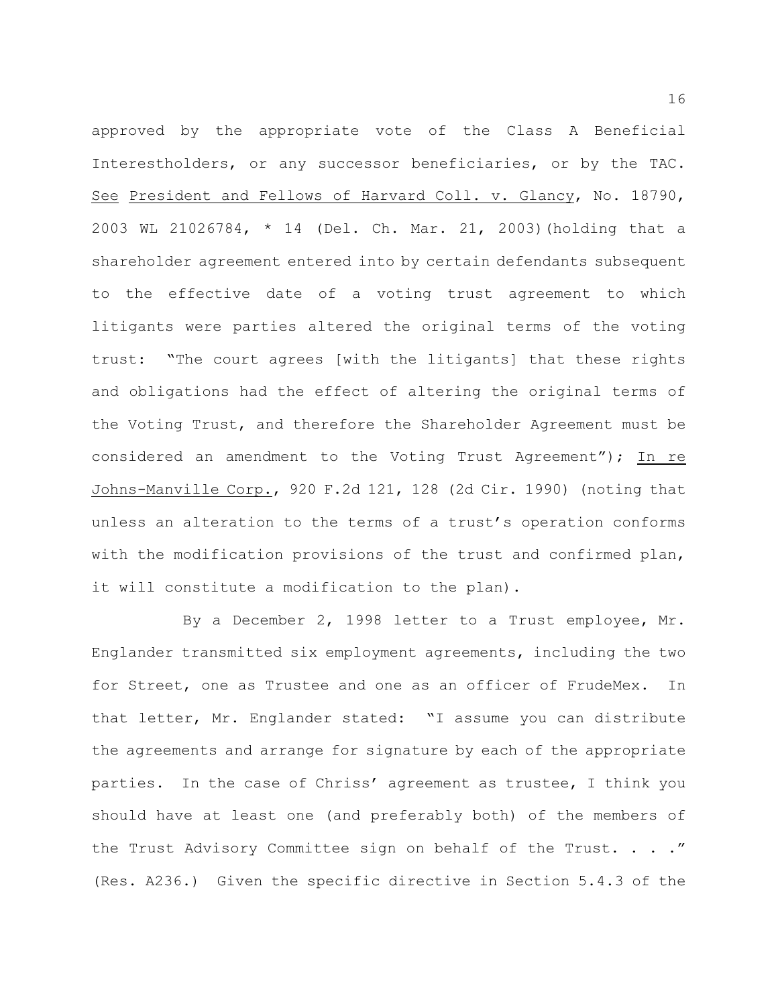approved by the appropriate vote of the Class A Beneficial Interestholders, or any successor beneficiaries, or by the TAC. See President and Fellows of Harvard Coll. v. Glancy, No. 18790, 2003 WL 21026784, \* 14 (Del. Ch. Mar. 21, 2003)(holding that a shareholder agreement entered into by certain defendants subsequent to the effective date of a voting trust agreement to which litigants were parties altered the original terms of the voting trust: "The court agrees [with the litigants] that these rights and obligations had the effect of altering the original terms of the Voting Trust, and therefore the Shareholder Agreement must be considered an amendment to the Voting Trust Agreement"); In re Johns-Manville Corp., 920 F.2d 121, 128 (2d Cir. 1990) (noting that unless an alteration to the terms of a trust's operation conforms with the modification provisions of the trust and confirmed plan, it will constitute a modification to the plan).

By a December 2, 1998 letter to a Trust employee, Mr. Englander transmitted six employment agreements, including the two for Street, one as Trustee and one as an officer of FrudeMex. In that letter, Mr. Englander stated: "I assume you can distribute the agreements and arrange for signature by each of the appropriate parties. In the case of Chriss' agreement as trustee, I think you should have at least one (and preferably both) of the members of the Trust Advisory Committee sign on behalf of the Trust. . . ." (Res. A236.) Given the specific directive in Section 5.4.3 of the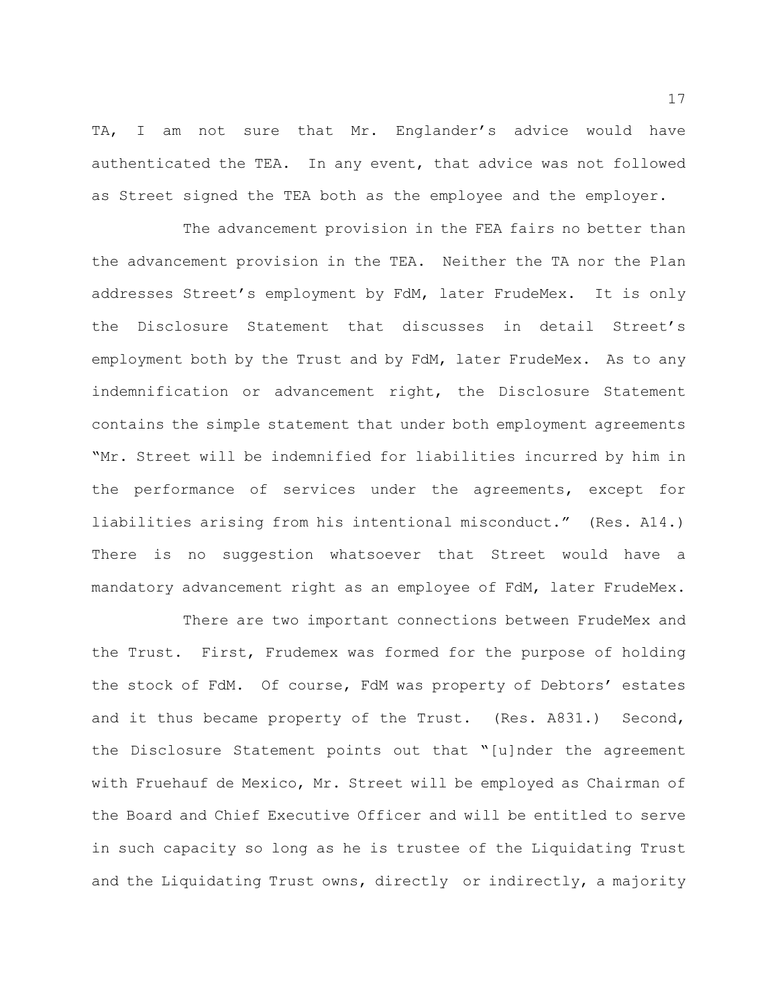TA, I am not sure that Mr. Englander's advice would have authenticated the TEA. In any event, that advice was not followed as Street signed the TEA both as the employee and the employer.

The advancement provision in the FEA fairs no better than the advancement provision in the TEA. Neither the TA nor the Plan addresses Street's employment by FdM, later FrudeMex. It is only the Disclosure Statement that discusses in detail Street's employment both by the Trust and by FdM, later FrudeMex. As to any indemnification or advancement right, the Disclosure Statement contains the simple statement that under both employment agreements "Mr. Street will be indemnified for liabilities incurred by him in the performance of services under the agreements, except for liabilities arising from his intentional misconduct." (Res. A14.) There is no suggestion whatsoever that Street would have a mandatory advancement right as an employee of FdM, later FrudeMex.

There are two important connections between FrudeMex and the Trust. First, Frudemex was formed for the purpose of holding the stock of FdM. Of course, FdM was property of Debtors' estates and it thus became property of the Trust. (Res. A831.) Second, the Disclosure Statement points out that "[u]nder the agreement with Fruehauf de Mexico, Mr. Street will be employed as Chairman of the Board and Chief Executive Officer and will be entitled to serve in such capacity so long as he is trustee of the Liquidating Trust and the Liquidating Trust owns, directly or indirectly, a majority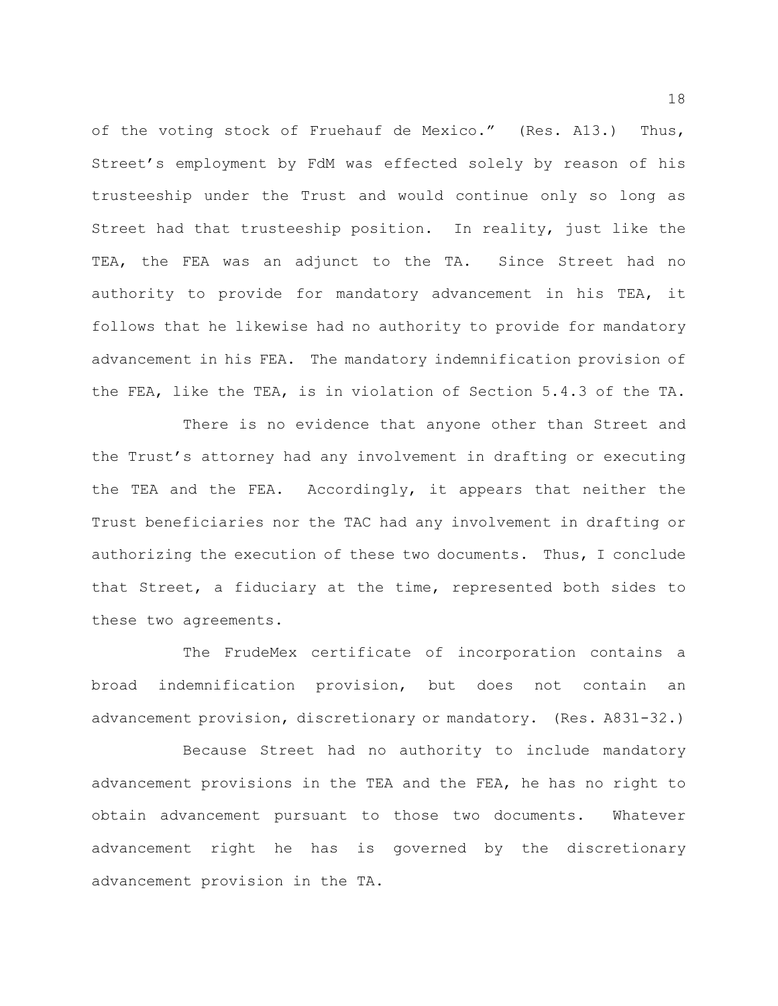of the voting stock of Fruehauf de Mexico." (Res. A13.) Thus, Street's employment by FdM was effected solely by reason of his trusteeship under the Trust and would continue only so long as Street had that trusteeship position. In reality, just like the TEA, the FEA was an adjunct to the TA. Since Street had no authority to provide for mandatory advancement in his TEA, it follows that he likewise had no authority to provide for mandatory advancement in his FEA. The mandatory indemnification provision of the FEA, like the TEA, is in violation of Section 5.4.3 of the TA.

There is no evidence that anyone other than Street and the Trust's attorney had any involvement in drafting or executing the TEA and the FEA. Accordingly, it appears that neither the Trust beneficiaries nor the TAC had any involvement in drafting or authorizing the execution of these two documents. Thus, I conclude that Street, a fiduciary at the time, represented both sides to these two agreements.

The FrudeMex certificate of incorporation contains a broad indemnification provision, but does not contain an advancement provision, discretionary or mandatory. (Res. A831-32.)

Because Street had no authority to include mandatory advancement provisions in the TEA and the FEA, he has no right to obtain advancement pursuant to those two documents. Whatever advancement right he has is governed by the discretionary advancement provision in the TA.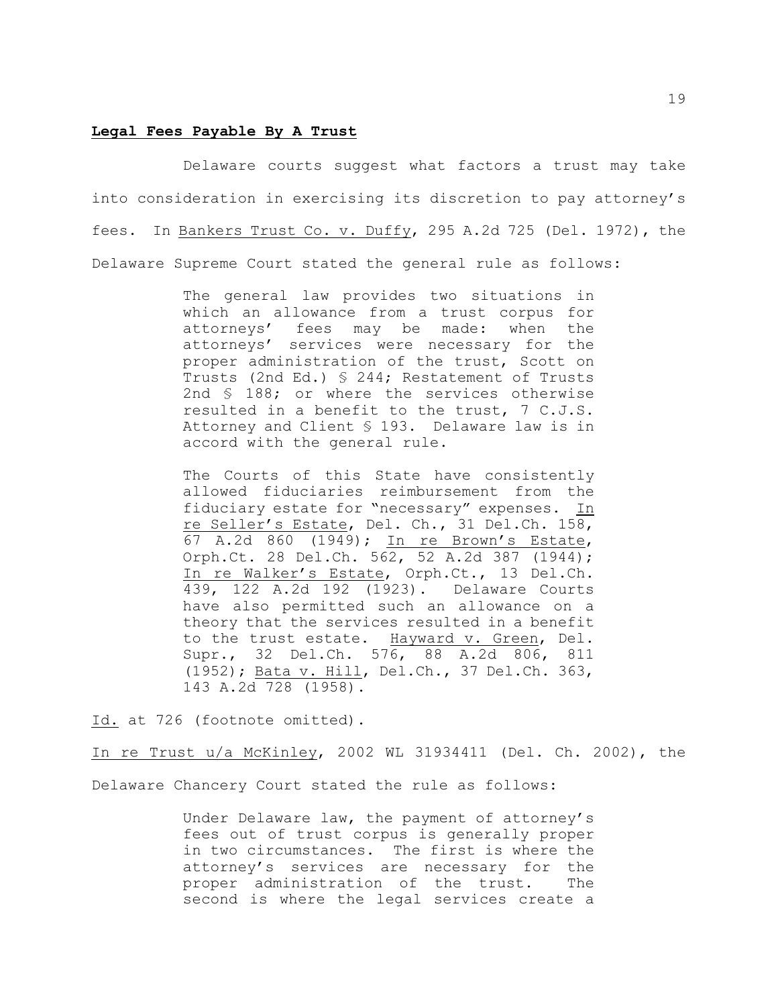### **Legal Fees Payable By A Trust**

Delaware courts suggest what factors a trust may take into consideration in exercising its discretion to pay attorney's fees. In Bankers Trust Co. v. Duffy, 295 A.2d 725 (Del. 1972), the Delaware Supreme Court stated the general rule as follows:

> The general law provides two situations in which an allowance from a trust corpus for attorneys' fees may be made: when the attorneys' services were necessary for the proper administration of the trust, Scott on Trusts (2nd Ed.) § 244; Restatement of Trusts 2nd § 188; or where the services otherwise resulted in a benefit to the trust, 7 C.J.S. Attorney and Client § 193. Delaware law is in accord with the general rule.

> The Courts of this State have consistently allowed fiduciaries reimbursement from the fiduciary estate for "necessary" expenses. In re Seller's Estate, Del. Ch., 31 Del.Ch. 158, 67 A.2d 860 (1949); In re Brown's Estate, Orph.Ct. 28 Del.Ch. 562, 52 A.2d 387 (1944); In re Walker's Estate, Orph.Ct., 13 Del.Ch. 439, 122 A.2d 192 (1923). Delaware Courts have also permitted such an allowance on a theory that the services resulted in a benefit to the trust estate. Hayward v. Green, Del. Supr., 32 Del.Ch. 576, 88 A.2d 806, 811 (1952); Bata v. Hill, Del.Ch., 37 Del.Ch. 363, 143 A.2d 728 (1958).

Id. at 726 (footnote omitted).

In re Trust u/a McKinley, 2002 WL 31934411 (Del. Ch. 2002), the Delaware Chancery Court stated the rule as follows:

> Under Delaware law, the payment of attorney's fees out of trust corpus is generally proper in two circumstances. The first is where the attorney's services are necessary for the proper administration of the trust. The second is where the legal services create a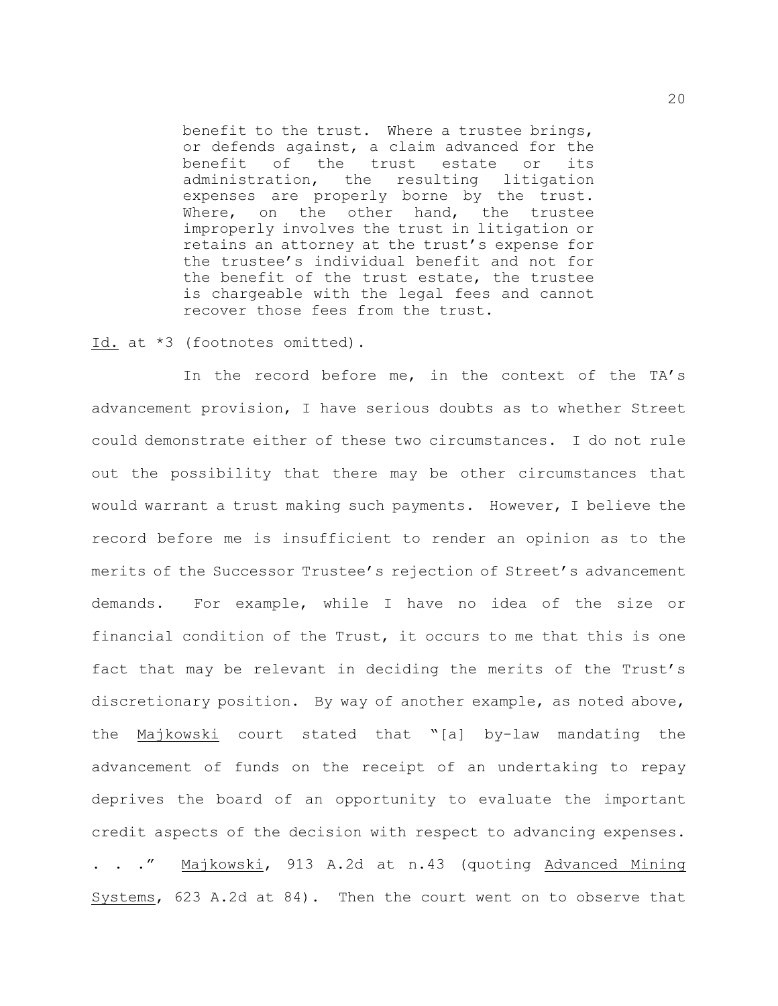benefit to the trust. Where a trustee brings, or defends against, a claim advanced for the benefit of the trust estate or its administration, the resulting litigation expenses are properly borne by the trust. Where, on the other hand, the trustee improperly involves the trust in litigation or retains an attorney at the trust's expense for the trustee's individual benefit and not for the benefit of the trust estate, the trustee is chargeable with the legal fees and cannot recover those fees from the trust.

### Id. at \*3 (footnotes omitted).

In the record before me, in the context of the TA's advancement provision, I have serious doubts as to whether Street could demonstrate either of these two circumstances. I do not rule out the possibility that there may be other circumstances that would warrant a trust making such payments. However, I believe the record before me is insufficient to render an opinion as to the merits of the Successor Trustee's rejection of Street's advancement demands. For example, while I have no idea of the size or financial condition of the Trust, it occurs to me that this is one fact that may be relevant in deciding the merits of the Trust's discretionary position. By way of another example, as noted above, the Majkowski court stated that "[a] by-law mandating the advancement of funds on the receipt of an undertaking to repay deprives the board of an opportunity to evaluate the important credit aspects of the decision with respect to advancing expenses. . . ." Majkowski, 913 A.2d at n.43 (quoting Advanced Mining Systems, 623 A.2d at 84). Then the court went on to observe that

20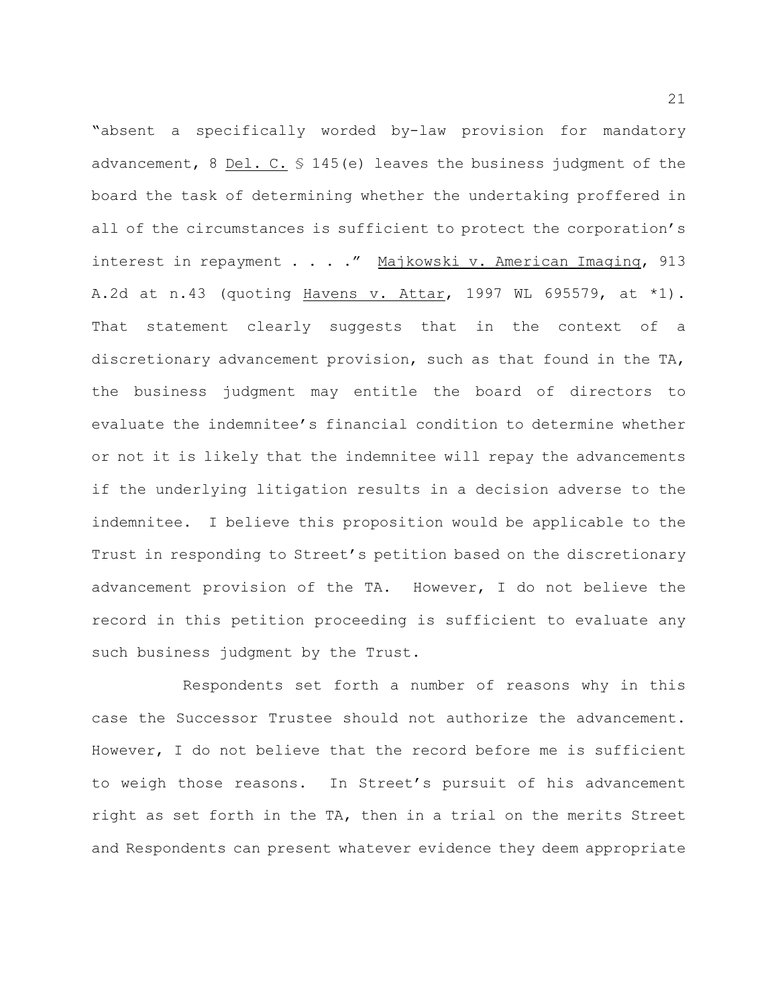"absent a specifically worded by-law provision for mandatory advancement, 8 Del. C. § 145(e) leaves the business judgment of the board the task of determining whether the undertaking proffered in all of the circumstances is sufficient to protect the corporation's interest in repayment . . . . " Majkowski v. American Imaging, 913 A.2d at n.43 (quoting Havens v. Attar, 1997 WL 695579, at \*1). That statement clearly suggests that in the context of a discretionary advancement provision, such as that found in the TA, the business judgment may entitle the board of directors to evaluate the indemnitee's financial condition to determine whether or not it is likely that the indemnitee will repay the advancements if the underlying litigation results in a decision adverse to the indemnitee. I believe this proposition would be applicable to the Trust in responding to Street's petition based on the discretionary advancement provision of the TA. However, I do not believe the record in this petition proceeding is sufficient to evaluate any such business judgment by the Trust.

Respondents set forth a number of reasons why in this case the Successor Trustee should not authorize the advancement. However, I do not believe that the record before me is sufficient to weigh those reasons. In Street's pursuit of his advancement right as set forth in the TA, then in a trial on the merits Street and Respondents can present whatever evidence they deem appropriate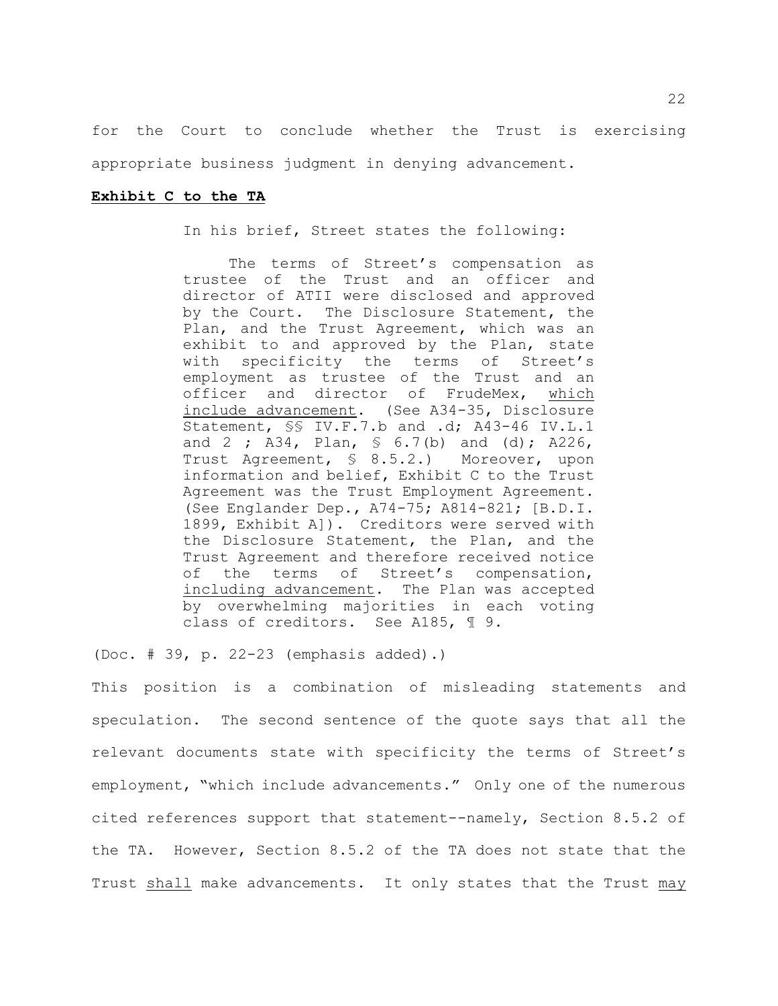for the Court to conclude whether the Trust is exercising appropriate business judgment in denying advancement.

## **Exhibit C to the TA**

In his brief, Street states the following:

The terms of Street's compensation as trustee of the Trust and an officer and director of ATII were disclosed and approved by the Court. The Disclosure Statement, the Plan, and the Trust Agreement, which was an exhibit to and approved by the Plan, state with specificity the terms of Street's employment as trustee of the Trust and an officer and director of FrudeMex, which include advancement. (See A34-35, Disclosure Statement, §§ IV.F.7.b and .d; A43-46 IV.L.1 and 2 ; A34, Plan, § 6.7(b) and (d); A226, Trust Agreement, § 8.5.2.) Moreover, upon information and belief, Exhibit C to the Trust Agreement was the Trust Employment Agreement. (See Englander Dep., A74-75; A814-821; [B.D.I. 1899, Exhibit A]). Creditors were served with the Disclosure Statement, the Plan, and the Trust Agreement and therefore received notice of the terms of Street's compensation, including advancement. The Plan was accepted by overwhelming majorities in each voting class of creditors. See A185, ¶ 9.

(Doc. # 39, p. 22-23 (emphasis added).)

This position is a combination of misleading statements and speculation. The second sentence of the quote says that all the relevant documents state with specificity the terms of Street's employment, "which include advancements." Only one of the numerous cited references support that statement--namely, Section 8.5.2 of the TA. However, Section 8.5.2 of the TA does not state that the Trust shall make advancements. It only states that the Trust may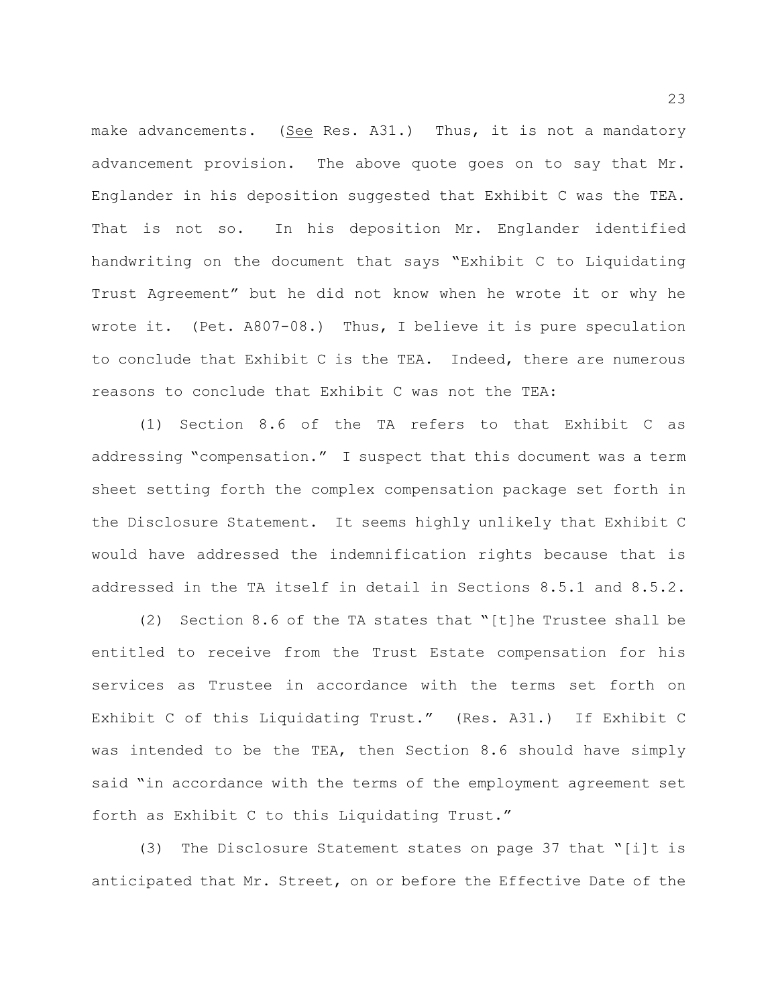make advancements. (See Res. A31.) Thus, it is not a mandatory advancement provision. The above quote goes on to say that Mr. Englander in his deposition suggested that Exhibit C was the TEA. That is not so. In his deposition Mr. Englander identified handwriting on the document that says "Exhibit C to Liquidating Trust Agreement" but he did not know when he wrote it or why he wrote it. (Pet. A807-08.) Thus, I believe it is pure speculation to conclude that Exhibit C is the TEA. Indeed, there are numerous reasons to conclude that Exhibit C was not the TEA:

(1) Section 8.6 of the TA refers to that Exhibit C as addressing "compensation." I suspect that this document was a term sheet setting forth the complex compensation package set forth in the Disclosure Statement. It seems highly unlikely that Exhibit C would have addressed the indemnification rights because that is addressed in the TA itself in detail in Sections 8.5.1 and 8.5.2.

(2) Section 8.6 of the TA states that "[t]he Trustee shall be entitled to receive from the Trust Estate compensation for his services as Trustee in accordance with the terms set forth on Exhibit C of this Liquidating Trust." (Res. A31.) If Exhibit C was intended to be the TEA, then Section 8.6 should have simply said "in accordance with the terms of the employment agreement set forth as Exhibit C to this Liquidating Trust."

(3) The Disclosure Statement states on page 37 that "[i]t is anticipated that Mr. Street, on or before the Effective Date of the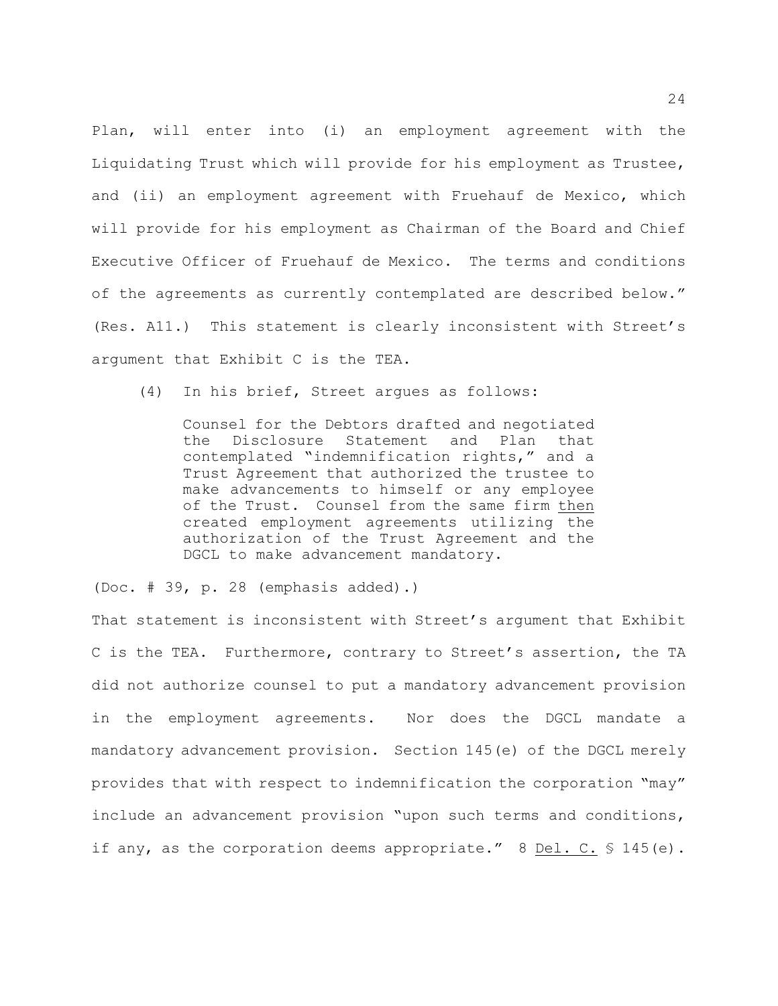Plan, will enter into (i) an employment agreement with the Liquidating Trust which will provide for his employment as Trustee, and (ii) an employment agreement with Fruehauf de Mexico, which will provide for his employment as Chairman of the Board and Chief Executive Officer of Fruehauf de Mexico. The terms and conditions of the agreements as currently contemplated are described below." (Res. A11.) This statement is clearly inconsistent with Street's argument that Exhibit C is the TEA.

(4) In his brief, Street argues as follows:

Counsel for the Debtors drafted and negotiated the Disclosure Statement and Plan that contemplated "indemnification rights," and a Trust Agreement that authorized the trustee to make advancements to himself or any employee of the Trust. Counsel from the same firm then created employment agreements utilizing the authorization of the Trust Agreement and the DGCL to make advancement mandatory.

(Doc. # 39, p. 28 (emphasis added).)

That statement is inconsistent with Street's argument that Exhibit C is the TEA. Furthermore, contrary to Street's assertion, the TA did not authorize counsel to put a mandatory advancement provision in the employment agreements. Nor does the DGCL mandate a mandatory advancement provision. Section 145(e) of the DGCL merely provides that with respect to indemnification the corporation "may" include an advancement provision "upon such terms and conditions, if any, as the corporation deems appropriate."  $8$  Del. C.  $\frac{1}{5}$  145(e).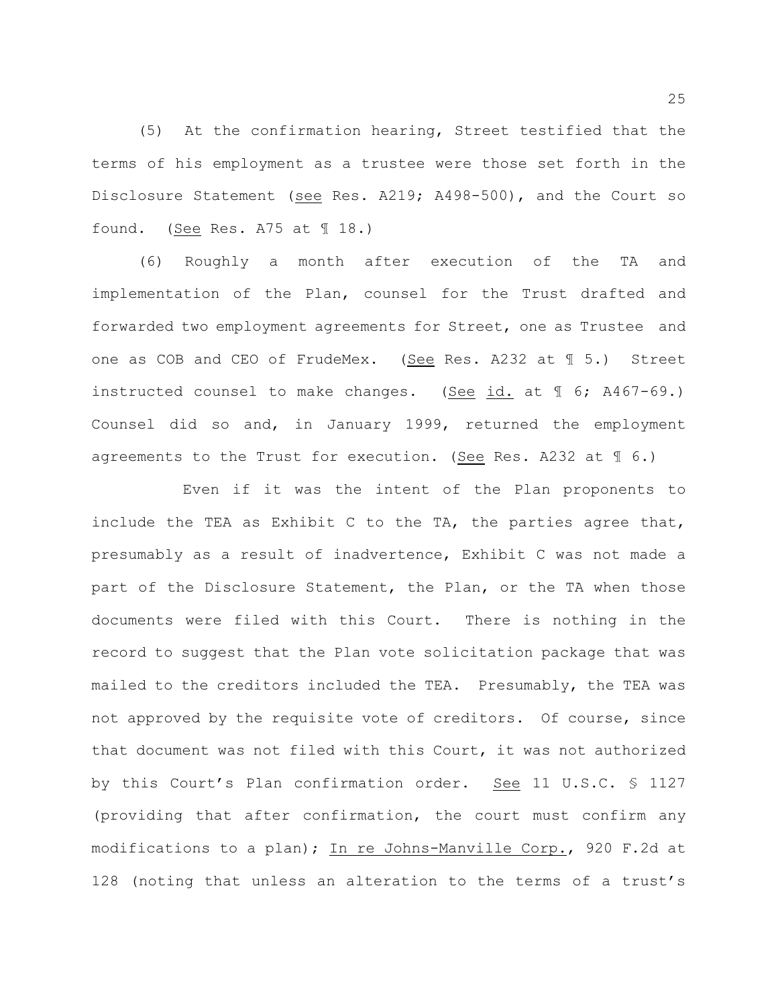(5) At the confirmation hearing, Street testified that the terms of his employment as a trustee were those set forth in the Disclosure Statement (see Res. A219; A498-500), and the Court so found. (See Res. A75 at ¶ 18.)

(6) Roughly a month after execution of the TA and implementation of the Plan, counsel for the Trust drafted and forwarded two employment agreements for Street, one as Trustee and one as COB and CEO of FrudeMex. (See Res. A232 at ¶ 5.) Street instructed counsel to make changes. (See id. at ¶ 6; A467-69.) Counsel did so and, in January 1999, returned the employment agreements to the Trust for execution. (See Res. A232 at  $\mathcal{J}$  6.)

Even if it was the intent of the Plan proponents to include the TEA as Exhibit C to the TA, the parties agree that, presumably as a result of inadvertence, Exhibit C was not made a part of the Disclosure Statement, the Plan, or the TA when those documents were filed with this Court. There is nothing in the record to suggest that the Plan vote solicitation package that was mailed to the creditors included the TEA. Presumably, the TEA was not approved by the requisite vote of creditors. Of course, since that document was not filed with this Court, it was not authorized by this Court's Plan confirmation order. See 11 U.S.C. § 1127 (providing that after confirmation, the court must confirm any modifications to a plan); In re Johns-Manville Corp., 920 F.2d at 128 (noting that unless an alteration to the terms of a trust's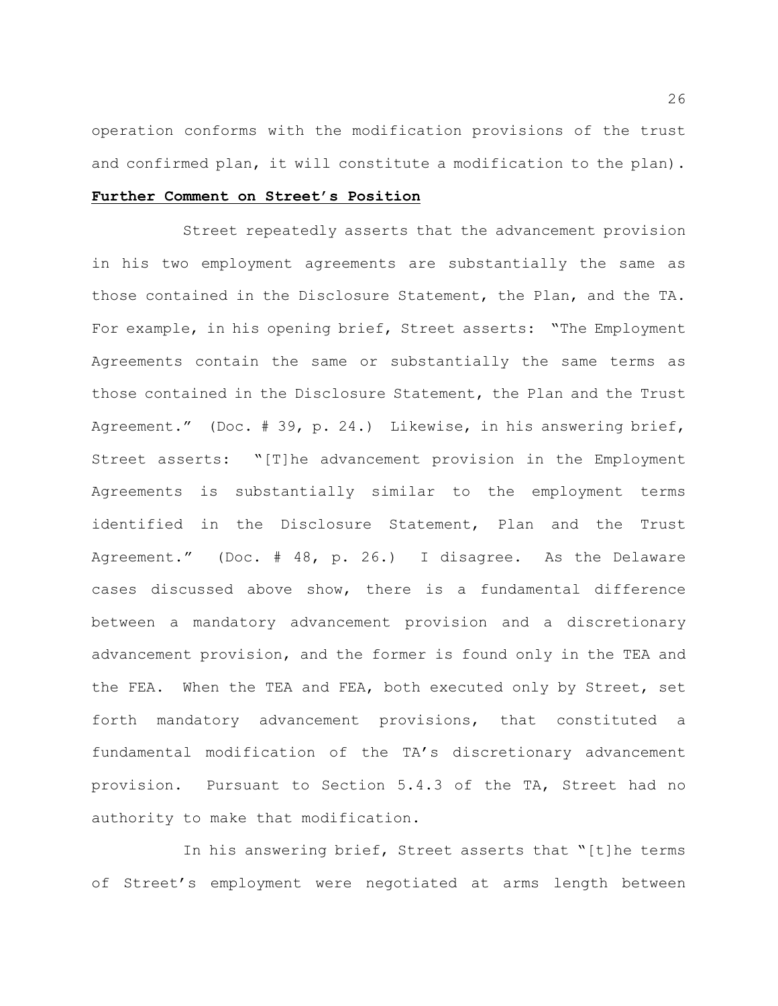operation conforms with the modification provisions of the trust and confirmed plan, it will constitute a modification to the plan).

### **Further Comment on Street's Position**

Street repeatedly asserts that the advancement provision in his two employment agreements are substantially the same as those contained in the Disclosure Statement, the Plan, and the TA. For example, in his opening brief, Street asserts: "The Employment Agreements contain the same or substantially the same terms as those contained in the Disclosure Statement, the Plan and the Trust Agreement." (Doc. # 39, p. 24.) Likewise, in his answering brief, Street asserts: "[T]he advancement provision in the Employment Agreements is substantially similar to the employment terms identified in the Disclosure Statement, Plan and the Trust Agreement." (Doc. # 48, p. 26.) I disagree. As the Delaware cases discussed above show, there is a fundamental difference between a mandatory advancement provision and a discretionary advancement provision, and the former is found only in the TEA and the FEA. When the TEA and FEA, both executed only by Street, set forth mandatory advancement provisions, that constituted a fundamental modification of the TA's discretionary advancement provision. Pursuant to Section 5.4.3 of the TA, Street had no authority to make that modification.

In his answering brief, Street asserts that "[t]he terms of Street's employment were negotiated at arms length between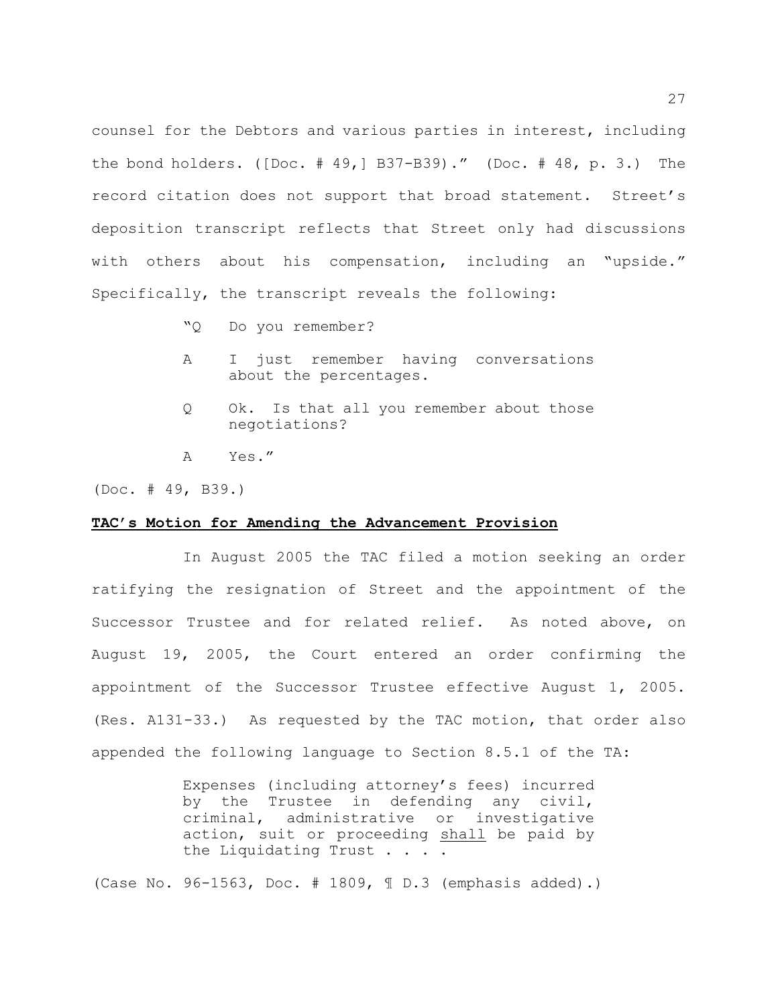counsel for the Debtors and various parties in interest, including the bond holders. ([Doc.  $# 49,$ ] B37-B39)." (Doc.  $# 48, p. 3.$ ) The record citation does not support that broad statement. Street's deposition transcript reflects that Street only had discussions with others about his compensation, including an "upside." Specifically, the transcript reveals the following:

- "Q Do you remember?
- A I just remember having conversations about the percentages.
- Q Ok. Is that all you remember about those negotiations?
- A Yes."

(Doc. # 49, B39.)

#### **TAC's Motion for Amending the Advancement Provision**

In August 2005 the TAC filed a motion seeking an order ratifying the resignation of Street and the appointment of the Successor Trustee and for related relief. As noted above, on August 19, 2005, the Court entered an order confirming the appointment of the Successor Trustee effective August 1, 2005. (Res. A131-33.) As requested by the TAC motion, that order also appended the following language to Section 8.5.1 of the TA:

> Expenses (including attorney's fees) incurred by the Trustee in defending any civil, criminal, administrative or investigative action, suit or proceeding shall be paid by the Liquidating Trust . . . .

(Case No. 96-1563, Doc. # 1809, ¶ D.3 (emphasis added).)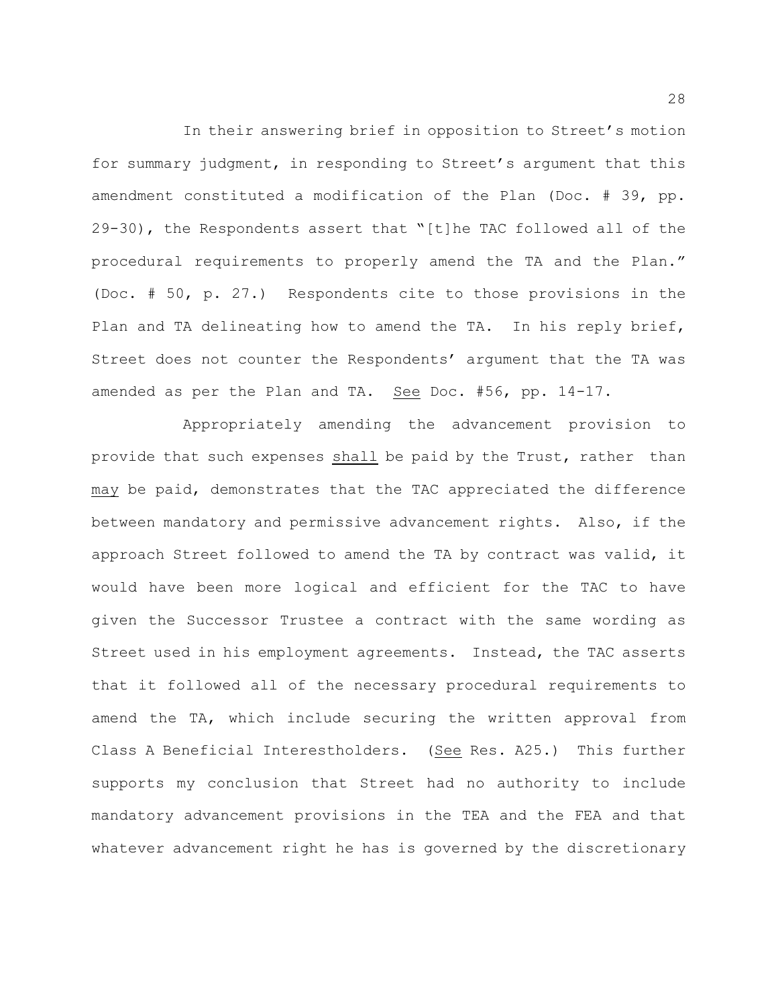In their answering brief in opposition to Street's motion for summary judgment, in responding to Street's argument that this amendment constituted a modification of the Plan (Doc. # 39, pp. 29-30), the Respondents assert that "[t]he TAC followed all of the procedural requirements to properly amend the TA and the Plan." (Doc. # 50, p. 27.) Respondents cite to those provisions in the Plan and TA delineating how to amend the TA. In his reply brief, Street does not counter the Respondents' argument that the TA was amended as per the Plan and TA. See Doc. #56, pp. 14-17.

Appropriately amending the advancement provision to provide that such expenses shall be paid by the Trust, rather than may be paid, demonstrates that the TAC appreciated the difference between mandatory and permissive advancement rights. Also, if the approach Street followed to amend the TA by contract was valid, it would have been more logical and efficient for the TAC to have given the Successor Trustee a contract with the same wording as Street used in his employment agreements. Instead, the TAC asserts that it followed all of the necessary procedural requirements to amend the TA, which include securing the written approval from Class A Beneficial Interestholders. (See Res. A25.) This further supports my conclusion that Street had no authority to include mandatory advancement provisions in the TEA and the FEA and that whatever advancement right he has is governed by the discretionary

28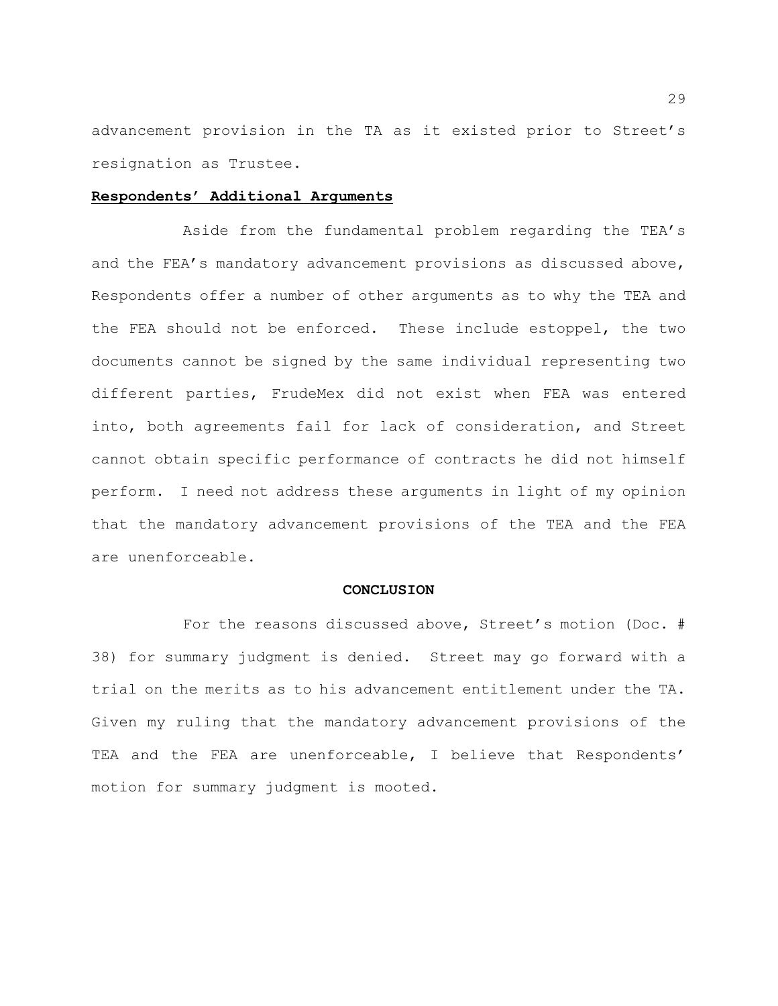advancement provision in the TA as it existed prior to Street's resignation as Trustee.

### **Respondents' Additional Arguments**

Aside from the fundamental problem regarding the TEA's and the FEA's mandatory advancement provisions as discussed above, Respondents offer a number of other arguments as to why the TEA and the FEA should not be enforced. These include estoppel, the two documents cannot be signed by the same individual representing two different parties, FrudeMex did not exist when FEA was entered into, both agreements fail for lack of consideration, and Street cannot obtain specific performance of contracts he did not himself perform. I need not address these arguments in light of my opinion that the mandatory advancement provisions of the TEA and the FEA are unenforceable.

#### **CONCLUSION**

For the reasons discussed above, Street's motion (Doc. # 38) for summary judgment is denied. Street may go forward with a trial on the merits as to his advancement entitlement under the TA. Given my ruling that the mandatory advancement provisions of the TEA and the FEA are unenforceable, I believe that Respondents' motion for summary judgment is mooted.